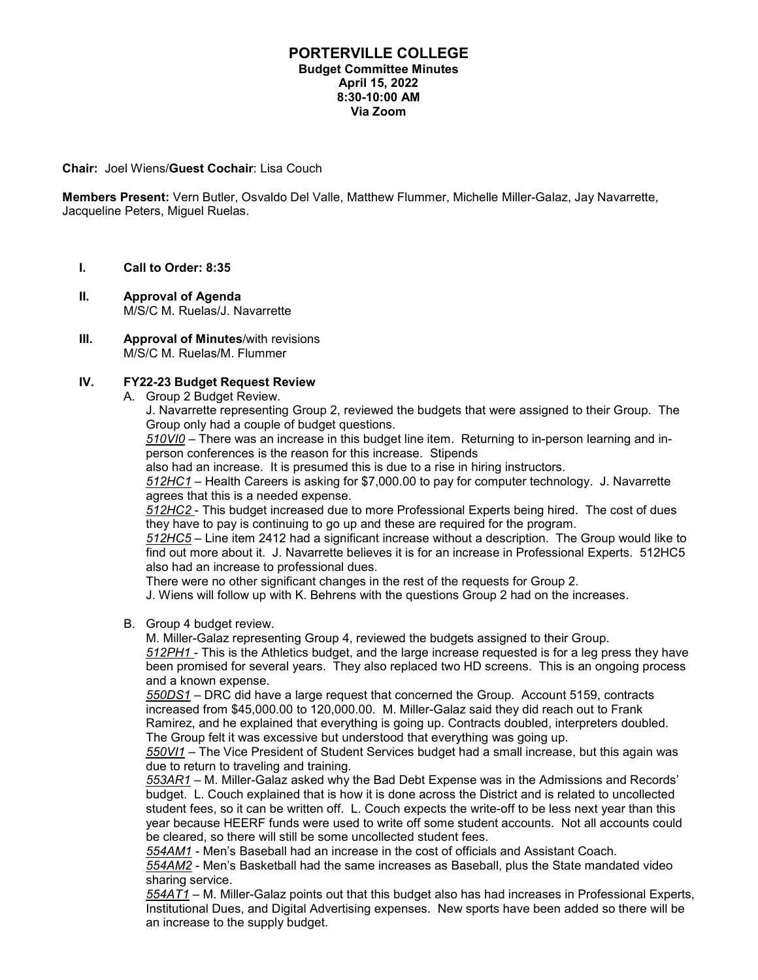## **PORTERVILLE COLLEGE Budget Committee Minutes April 15, 2022 8:30-10:00 AM Via Zoom**

## **Chair:** Joel Wiens/**Guest Cochair**: Lisa Couch

**Members Present:** Vern Butler, Osvaldo Del Valle, Matthew Flummer, Michelle Miller-Galaz, Jay Navarrette, Jacqueline Peters, Miguel Ruelas.

- **I. Call to Order: 8:35**
- **II. Approval of Agenda** M/S/C M. Ruelas/J. Navarrette
- **III. Approval of Minutes**/with revisions M/S/C M. Ruelas/M. Flummer

## **IV. FY22-23 Budget Request Review**

A. Group 2 Budget Review.

J. Navarrette representing Group 2, reviewed the budgets that were assigned to their Group. The Group only had a couple of budget questions.

*510VI0* – There was an increase in this budget line item. Returning to in-person learning and inperson conferences is the reason for this increase. Stipends

also had an increase. It is presumed this is due to a rise in hiring instructors.

*512HC1* – Health Careers is asking for \$7,000.00 to pay for computer technology. J. Navarrette agrees that this is a needed expense.

*512HC2* - This budget increased due to more Professional Experts being hired. The cost of dues they have to pay is continuing to go up and these are required for the program.

*512HC5* – Line item 2412 had a significant increase without a description. The Group would like to find out more about it. J. Navarrette believes it is for an increase in Professional Experts. 512HC5 also had an increase to professional dues.

There were no other significant changes in the rest of the requests for Group 2.

J. Wiens will follow up with K. Behrens with the questions Group 2 had on the increases.

B. Group 4 budget review.

M. Miller-Galaz representing Group 4, reviewed the budgets assigned to their Group.

*512PH1* - This is the Athletics budget, and the large increase requested is for a leg press they have been promised for several years. They also replaced two HD screens. This is an ongoing process and a known expense.

*550DS1* – DRC did have a large request that concerned the Group. Account 5159, contracts increased from \$45,000.00 to 120,000.00. M. Miller-Galaz said they did reach out to Frank Ramirez, and he explained that everything is going up. Contracts doubled, interpreters doubled. The Group felt it was excessive but understood that everything was going up.

*550VI1* – The Vice President of Student Services budget had a small increase, but this again was due to return to traveling and training.

*553AR1* – M. Miller-Galaz asked why the Bad Debt Expense was in the Admissions and Records' budget. L. Couch explained that is how it is done across the District and is related to uncollected student fees, so it can be written off. L. Couch expects the write-off to be less next year than this year because HEERF funds were used to write off some student accounts. Not all accounts could be cleared, so there will still be some uncollected student fees.

*554AM1* - Men's Baseball had an increase in the cost of officials and Assistant Coach.

*554AM2* - Men's Basketball had the same increases as Baseball, plus the State mandated video sharing service.

*554AT1* – M. Miller-Galaz points out that this budget also has had increases in Professional Experts, Institutional Dues, and Digital Advertising expenses. New sports have been added so there will be an increase to the supply budget.